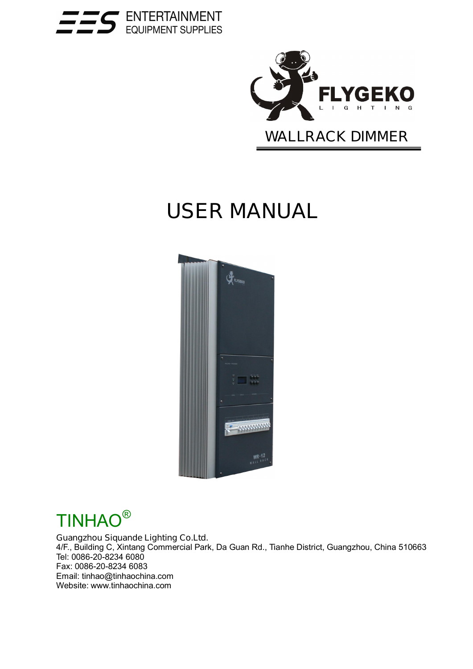



# **USER MANUAL**





#### **Guangzhou Siquande Lighting Co.Ltd.**

4/F., Building C, Xintang Commercial Park, Da Guan Rd., Tianhe District, Guangzhou, China 510663 Tel: 0086-20-8234 6080 Fax: 0086-20-8234 6083 Email: tinhao@tinhaochina.com Website: www.tinhaochina.com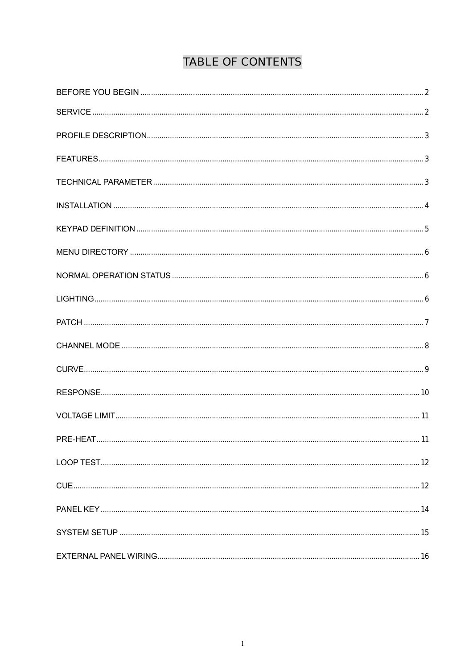# **TABLE OF CONTENTS**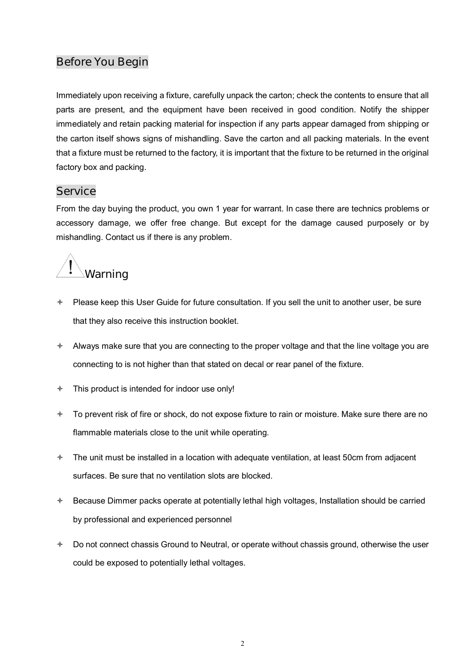## **Before You Begin**

Immediately upon receiving a fixture, carefully unpack the carton; check the contents to ensure that all parts are present, and the equipment have been received in good condition. Notify the shipper immediately and retain packing material for inspection if any parts appear damaged from shipping or the carton itself shows signs of mishandling. Save the carton and all packing materials. In the event that a fixture must be returned to the factory, it is important that the fixture to be returned in the original factory box and packing.

## **Service**

From the day buying the product, you own 1 year for warrant. In case there are technics problems or accessory damage, we offer free change. But except for the damage caused purposely or by mishandling. Contact us if there is any problem.



- $\div$  Please keep this User Guide for future consultation. If you sell the unit to another user, be sure that they also receive this instruction booklet.
- $\triangle$  Always make sure that you are connecting to the proper voltage and that the line voltage you are connecting to is not higher than that stated on decal or rear panel of the fixture.
- $\div$  This product is intended for indoor use only!
- $\div$  To prevent risk of fire or shock, do not expose fixture to rain or moisture. Make sure there are no flammable materials close to the unit while operating.
- $\div$  The unit must be installed in a location with adequate ventilation, at least 50cm from adjacent surfaces. Be sure that no ventilation slots are blocked.
- $\triangle$  Because Dimmer packs operate at potentially lethal high voltages, Installation should be carried by professional and experienced personnel
- $\div$  Do not connect chassis Ground to Neutral, or operate without chassis ground, otherwise the user could be exposed to potentially lethal voltages.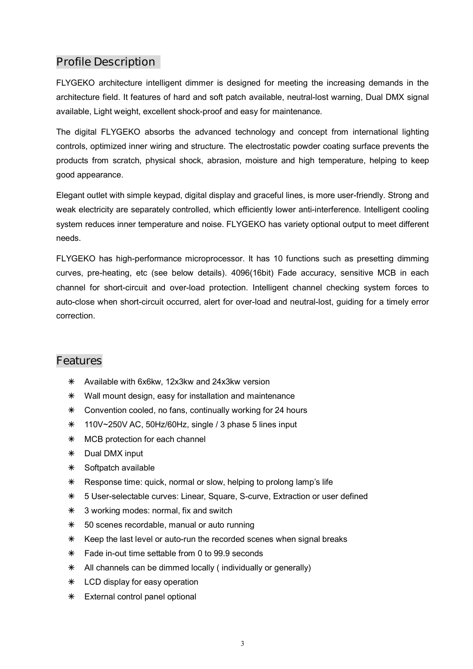## **Profile Description**

FLYGEKO architecture intelligent dimmer is designed for meeting the increasing demands in the architecture field. It features of hard and soft patch available, neutral-lost warning, Dual DMX signal available, Light weight, excellent shock-proof and easy for maintenance.

The digital FLYGEKO absorbs the advanced technology and concept from international lighting controls, optimized inner wiring and structure. The electrostatic powder coating surface prevents the products from scratch, physical shock, abrasion, moisture and high temperature, helping to keep good appearance.

Elegant outlet with simple keypad, digital display and graceful lines, is more user-friendly. Strong and weak electricity are separately controlled, which efficiently lower anti-interference. Intelligent cooling system reduces inner temperature and noise. FLYGEKO has variety optional output to meet different needs.

FLYGEKO has high-performance microprocessor. It has 10 functions such as presetting dimming curves, pre-heating, etc (see below details). 4096(16bit) Fade accuracy, sensitive MCB in each channel for short-circuit and over-load protection. Intelligent channel checking system forces to auto-close when short-circuit occurred, alert for over-load and neutral-lost, guiding for a timely error correction.

## **Features**

- $*$  Available with 6x6kw, 12x3kw and 24x3kw version
- $*$  Wall mount design, easy for installation and maintenance
- $*$  Convention cooled, no fans, continually working for 24 hours
- $*$  110V~250V AC, 50Hz/60Hz, single / 3 phase 5 lines input
- $*$  MCB protection for each channel
- $*$  Dual DMX input
- $*$  Softpatch available
- \* Response time: quick, normal or slow, helping to prolong lamp's life
- á 5 User-selectable curves: Linear, Square, S-curve, Extraction or user defined
- $*$  3 working modes: normal, fix and switch
- $*$  50 scenes recordable, manual or auto running
- $*$  Keep the last level or auto-run the recorded scenes when signal breaks
- $*$  Fade in-out time settable from 0 to 99.9 seconds
- $*$  All channels can be dimmed locally ( individually or generally)
- $*$  LCD display for easy operation
- $*$  External control panel optional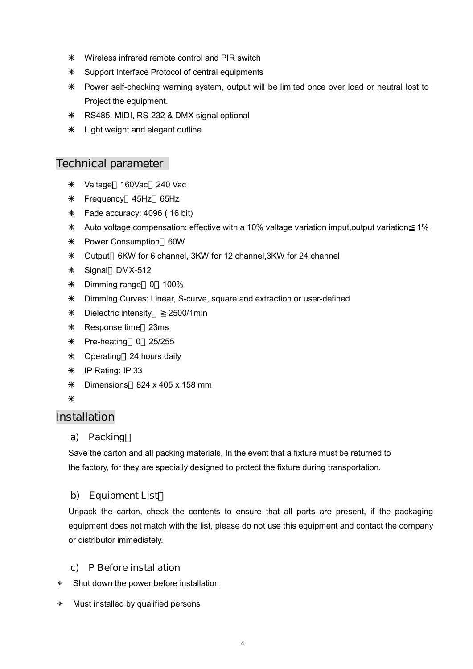- $*$  Wireless infrared remote control and PIR switch
- $*$  Support Interface Protocol of central equipments
- \* Power self-checking warning system, output will be limited once over load or neutral lost to Project the equipment.
- á RS485, MIDI, RS-232 & DMX signal optional
- $*$  Light weight and elegant outline

#### **Technical parameter**

- \* Valtage 160Vac 240 Vac
- á Frequency 45Hz 65Hz
- $*$  Fade accuracy: 4096 (16 bit)
- $*$  Auto voltage compensation: effective with a 10% valtage variation imput, output variation 1%
- \* Power Consumption 60W
- á Output 6KW for 6 channel, 3KW for 12 channel,3KW for 24 channel
- $*$  Signal DMX-512
- $*$  Dimming range 0 100%
- á Dimming Curves: Linear, S-curve, square and extraction or user-defined
- á Dielectric intensity:≧2500/1min
- $*$  Response time 23ms
- $*$  Pre-heating 0 25/255
- \* Operating 24 hours daily
- $*$  IP Rating: IP 33
- $*$  Dimensions 824 x 405 x 158 mm
- $\ast$

#### **Installation**

#### **a) Packing**:

Save the carton and all packing materials, In the event that a fixture must be returned to the factory, for they are specially designed to protect the fixture during transportation.

#### **b) Equipment List**:

Unpack the carton, check the contents to ensure that all parts are present, if the packaging equipment does not match with the list, please do not use this equipment and contact the company or distributor immediately.

#### **c) P Before installation**

- $\triangleleft$  Shut down the power before installation
- $\triangleleft$  Must installed by qualified persons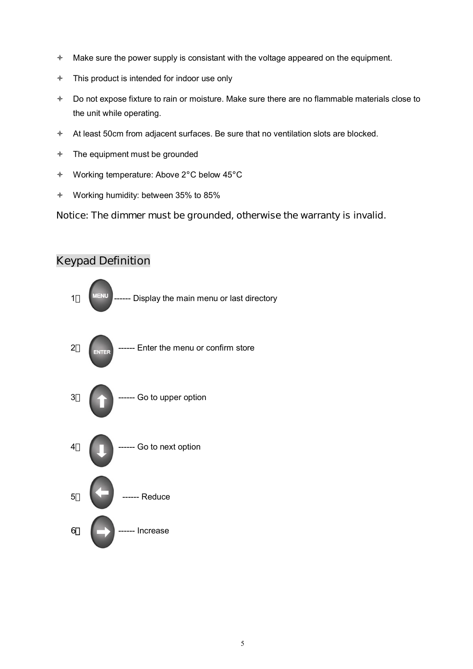- $\triangleleft$  Make sure the power supply is consistant with the voltage appeared on the equipment.
- $\div$  This product is intended for indoor use only
- $\triangleq$  Do not expose fixture to rain or moisture. Make sure there are no flammable materials close to the unit while operating.
- $\triangleleft$  At least 50cm from adjacent surfaces. Be sure that no ventilation slots are blocked.
- $\div$  The equipment must be grounded
- ò Working temperature: Above 2°C below 45°C
- ò Working humidity: between 35% to 85%

#### **Notice: The dimmer must be grounded, otherwise the warranty is invalid.**



# **Keypad Definition**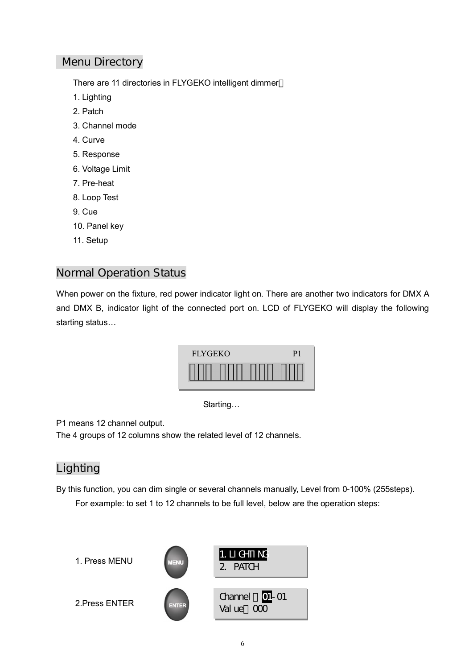## **Menu Directory**

There are 11 directories in FLYGEKO intelligent dimmer

- 1. Lighting
- 2. Patch
- 3. Channel mode
- 4. Curve
- 5. Response
- 6. Voltage Limit
- 7. Pre-heat
- 8. Loop Test
- 9. Cue
- 10. Panel key
- 11. Setup

### **Normal Operation Status**

When power on the fixture, red power indicator light on. There are another two indicators for DMX A and DMX B, indicator light of the connected port on. LCD of FLYGEKO will display the following starting status…



Starting…

P1 means 12 channel output.

The 4 groups of 12 columns show the related level of 12 channels.

## **Lighting**

By this function, you can dim single or several channels manually, Level from 0-100% (255steps). For example: to set 1 to 12 channels to be full level, below are the operation steps:

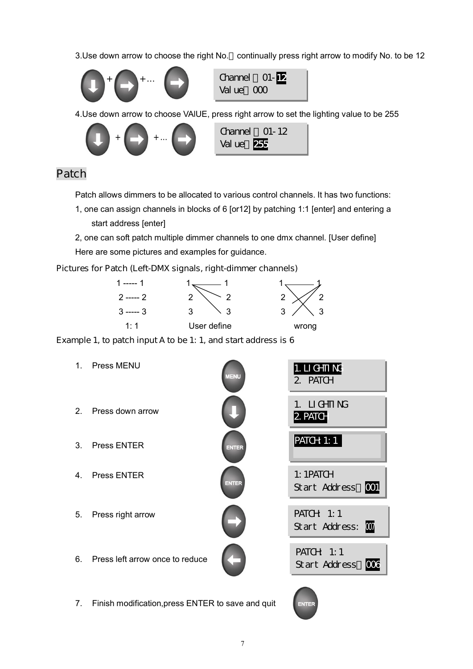3.Use down arrow to choose the right No. continually press right arrow to modify No. to be 12



Channel: 01-12 Value: 000

4.Use down arrow to choose VAlUE, press right arrow to set the lighting value to be 255



## **Patch**

Patch allows dimmers to be allocated to various control channels. It has two functions:

- 1, one can assign channels in blocks of 6 [or12] by patching 1:1 [enter] and entering a start address [enter]
- 2, one can soft patch multiple dimmer channels to one dmx channel. [User define] Here are some pictures and examples for guidance.

#### **Pictures for Patch (Left-DMX signals, right-dimmer channels)**



**Example 1, to patch input A to be 1: 1, and start address is 6** 

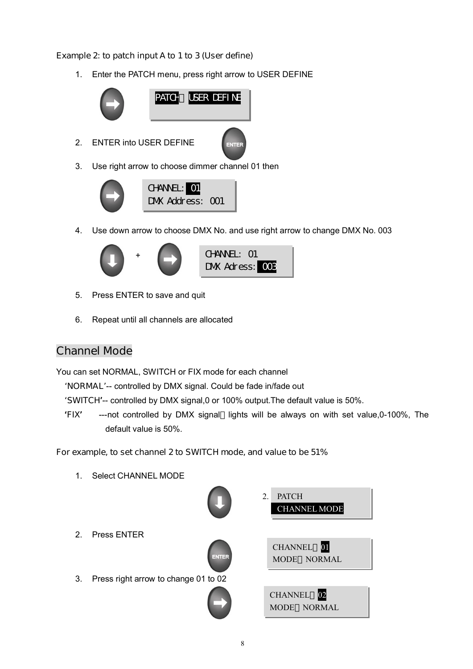#### **Example 2: to patch input A to 1 to 3 (User define)**

1. Enter the PATCH menu, press right arrow to USER DEFINE



3. Use right arrow to choose dimmer channel 01 then



4. Use down arrow to choose DMX No. and use right arrow to change DMX No. 003



- 5. Press ENTER to save and quit
- 6. Repeat until all channels are allocated

## **Channel Mode**

You can set NORMAL, SWITCH or FIX mode for each channel

- '**NORMAL**'-- controlled by DMX signal. Could be fade in/fade out
- '**SWITCH**'-- controlled by DMX signal,0 or 100% output.The default value is 50%.
- '**FIX**' ---not controlled by DMX signal lights will be always on with set value,0-100%, The default value is 50%.

#### **For example, to set channel 2 to SWITCH mode, and value to be 51%**

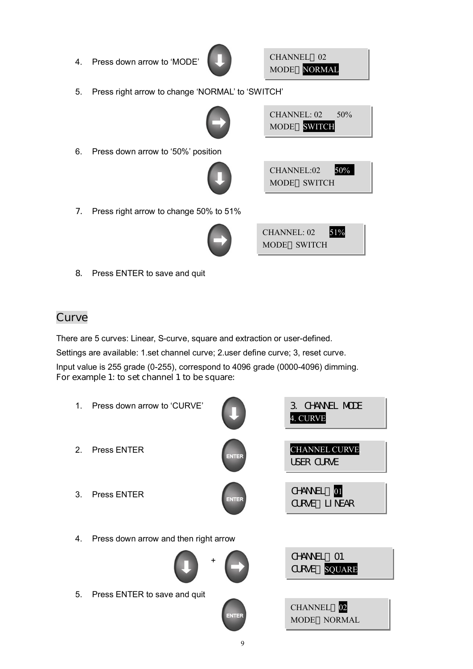4. Press down arrow to 'MODE'



CHANNEL 02 MODE NORMAL

 $CHANNEL: 02 50%$ MODE SWITCH

5. Press right arrow to change 'NORMAL' to 'SWITCH'



6. Press down arrow to '50%' position



| CHANNEL:02  | 50% |
|-------------|-----|
| MODE SWITCH |     |

**7.** Press right arrow to change 50% to 51%



| <b>CHANNEL: 02</b> |             | 51% |
|--------------------|-------------|-----|
|                    | MODE SWITCH |     |

**8.** Press ENTER to save and quit

# **Curve**

There are 5 curves: Linear, S-curve, square and extraction or user-defined. Settings are available: 1.set channel curve; 2.user define curve; 3, reset curve. Input value is 255 grade (0-255), correspond to 4096 grade (0000-4096) dimming. **For example 1: to set channel 1 to be square:** 

- 1. Press down arrow to 'CURVE'
- 2. Press ENTER
- 3. Press ENTER
- 
- 4. Press down arrow and then right arrow



5. Press ENTER to save and quit



| CHANNEL 02  |  |  |
|-------------|--|--|
| MODE NORMAL |  |  |

3. CHANNEL MODE

CHANNEL CURVE.

USER CURVE

CHANNEL 01 CURVE LINEAR

CHANNEL 01 CURVE SQUARE

4. CURVE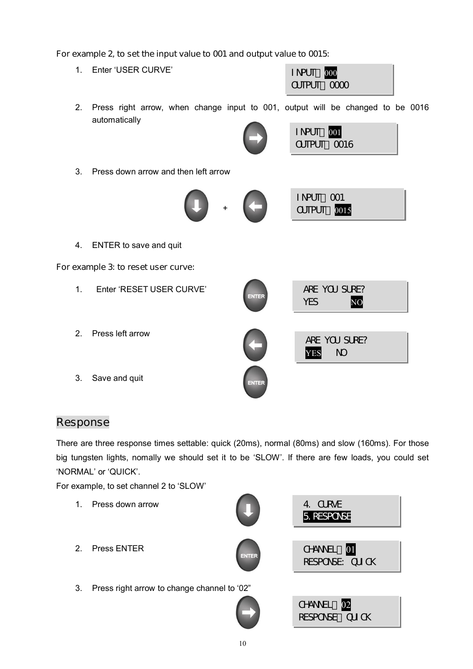#### **For example 2, to set the input value to 001 and output value to 0015:**



## **Response**

There are three response times settable: quick (20ms), normal (80ms) and slow (160ms). For those big tungsten lights, nomally we should set it to be 'SLOW'. If there are few loads, you could set 'NORMAL' or 'QUICK'.

For example, to set channel 2 to 'SLOW'

1. Press down arrow 2. Press ENTER 3. Press right arrow to change channel to '02" 4. CURVE 5.RESPONSE CHANNEL 01 RESPONSE: CUICK CHANNEL 02 RESPONSE CUICK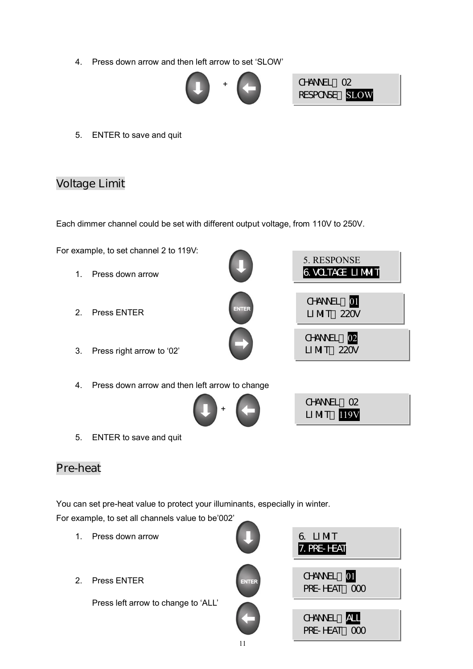4. Press down arrow and then left arrow to set 'SLOW'



5. ENTER to save and quit

## **Voltage Limit**

Each dimmer channel could be set with different output voltage, from 110V to 250V.



# **Pre-heat**

You can set pre-heat value to protect your illuminants, especially in winter.

For example, to set all channels value to be'002'

- 1. Press down arrow
- 2. Press ENTER

Press left arrow to change to 'ALL'



11

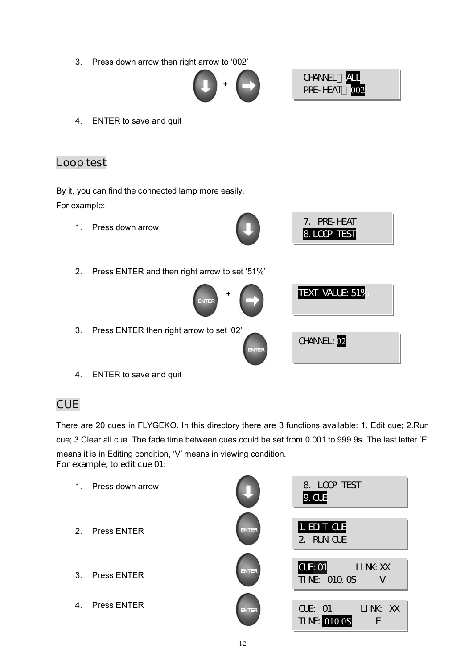3. Press down arrow then right arrow to '002'





7. PRE-HEAT 8.LOOP TEST

TEXT VALUE: 51%

CHANNEL: 02

4. ENTER to save and quit

## **Loop test**

By it, you can find the connected lamp more easily. For example:

1. Press down arrow



2. Press ENTER and then right arrow to set '51%'



- 3. Press ENTER then right arrow to set '02'
- 4. ENTER to save and quit

# **CUE**

There are 20 cues in FLYGEKO. In this directory there are 3 functions available: 1. Edit cue; 2.Run cue; 3.Clear all cue. The fade time between cues could be set from 0.001 to 999.9s. The last letter 'E' means it is in Editing condition, 'V' means in viewing condition. **For example, to edit cue 01:** 

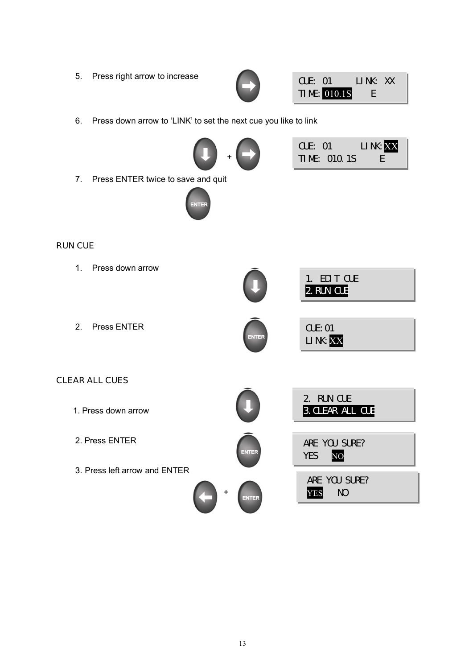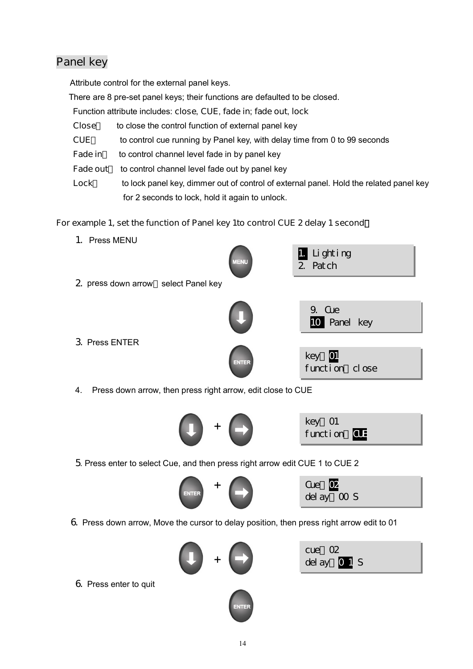## **Panel key**

Attribute control for the external panel keys.

There are 8 pre-set panel keys; their functions are defaulted to be closed.

Function attribute includes: **close**, **CUE**, **fade in**; **fade out**, **lock**

- **Close** to close the control function of external panel key
- **CUE** to control cue running by Panel key, with delay time from 0 to 99 seconds
- **Fade in** to control channel level fade in by panel key
- **Fade out** to control channel level fade out by panel key
- Lock to lock panel key, dimmer out of control of external panel. Hold the related panel key for 2 seconds to lock, hold it again to unlock.

#### **For example 1, set the function of Panel key 1to control CUE 2 delay 1 second**:



4. Press down arrow, then press right arrow, edit close to CUE



key:01 function CUE

5. Press enter to select Cue, and then press right arrow edit CUE 1 to CUE 2



Cue **02** delay:00 S

6. Press down arrow, Move the cursor to delay position, then press right arrow edit to 01



| cue 02                   |  |
|--------------------------|--|
| del ay $\overline{01}$ S |  |

6. Press enter to quit

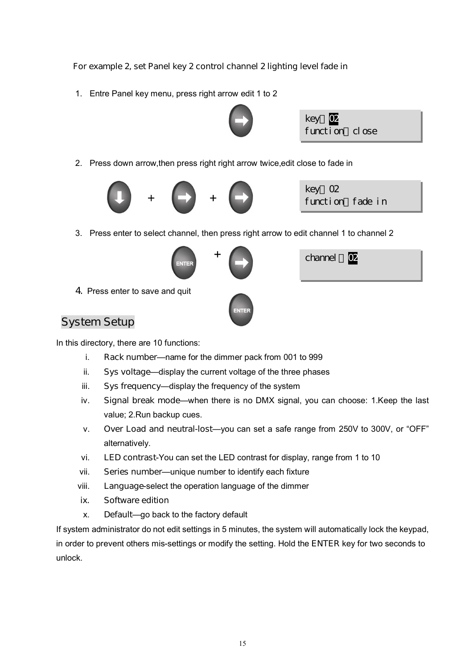#### **For example 2, set Panel key 2 control channel 2 lighting level fade in**

1. Entre Panel key menu, press right arrow edit 1 to 2





2. Press down arrow,then press right right arrow twice,edit close to fade in



key 02 function fade in

3. Press enter to select channel, then press right arrow to edit channel 1 to channel 2





channel 02

4. Press enter to save and quit

## **System Setup**

In this directory, there are 10 functions:

- i. **Rack number**—name for the dimmer pack from 001 to 999
- ii. **Sys voltage**—display the current voltage of the three phases
- iii. **Sys frequency**—display the frequency of the system
- iv. **Signal break mode**—when there is no DMX signal, you can choose: 1.Keep the last value; 2.Run backup cues.
- v. **Over Load and neutral-lost**—you can set a safe range from 250V to 300V, or "OFF" alternatively.
- vi. **LED contrast**-You can set the LED contrast for display, range from 1 to 10
- vii. **Series number**—unique number to identify each fixture
- viii. **Language**-select the operation language of the dimmer
- **ix. Software edition**
- x. **Default**—go back to the factory default

If system administrator do not edit settings in 5 minutes, the system will automatically lock the keypad, in order to prevent others mis-settings or modify the setting. Hold the **ENTER** key for two seconds to unlock.